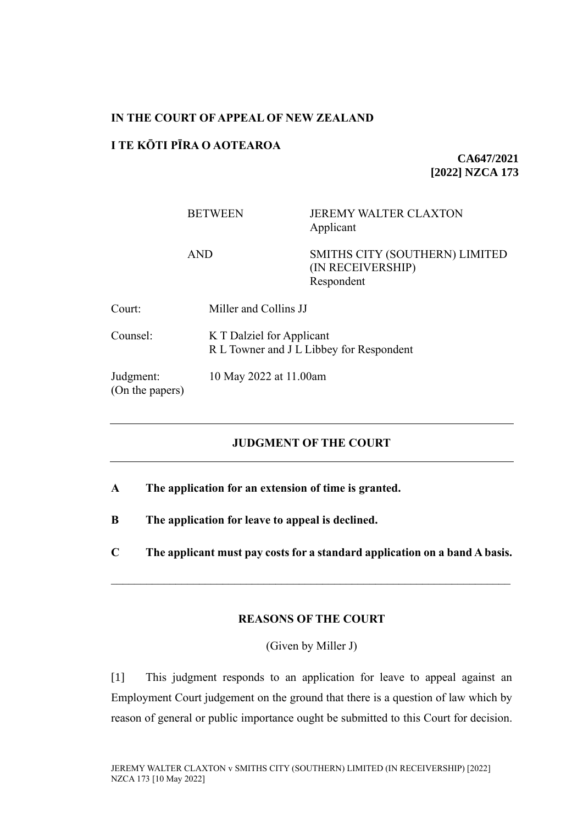#### **IN THE COURT OF APPEAL OF NEW ZEALAND**

#### **I TE KŌTI PĪRA O AOTEAROA**

**CA647/2021 [2022] NZCA 173**

## BETWEEN JEREMY WALTER CLAXTON Applicant

AND SMITHS CITY (SOUTHERN) LIMITED (IN RECEIVERSHIP) Respondent

| Court:                       | Miller and Collins JJ                                                 |
|------------------------------|-----------------------------------------------------------------------|
| Counsel:                     | K T Dalziel for Applicant<br>R L Towner and J L Libbey for Respondent |
| Judgment:<br>(On the papers) | 10 May 2022 at 11.00am                                                |

# **JUDGMENT OF THE COURT**

**A The application for an extension of time is granted.** 

**B The application for leave to appeal is declined.** 

**C The applicant must pay costs for a standard application on a band A basis.**

## **REASONS OF THE COURT**

(Given by Miller J)

[1] This judgment responds to an application for leave to appeal against an Employment Court judgement on the ground that there is a question of law which by reason of general or public importance ought be submitted to this Court for decision.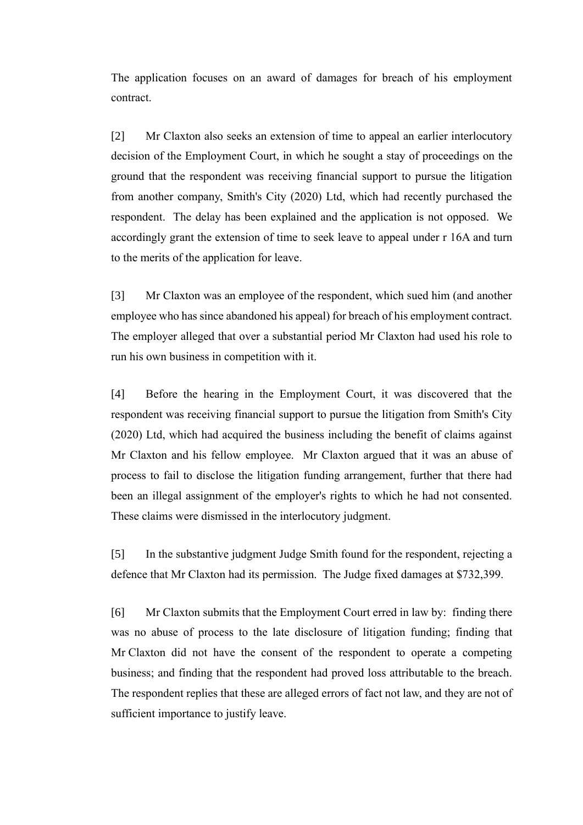The application focuses on an award of damages for breach of his employment contract.

[2] Mr Claxton also seeks an extension of time to appeal an earlier interlocutory decision of the Employment Court, in which he sought a stay of proceedings on the ground that the respondent was receiving financial support to pursue the litigation from another company, Smith's City (2020) Ltd, which had recently purchased the respondent. The delay has been explained and the application is not opposed. We accordingly grant the extension of time to seek leave to appeal under r 16A and turn to the merits of the application for leave.

[3] Mr Claxton was an employee of the respondent, which sued him (and another employee who has since abandoned his appeal) for breach of his employment contract. The employer alleged that over a substantial period Mr Claxton had used his role to run his own business in competition with it.

[4] Before the hearing in the Employment Court, it was discovered that the respondent was receiving financial support to pursue the litigation from Smith's City (2020) Ltd, which had acquired the business including the benefit of claims against Mr Claxton and his fellow employee. Mr Claxton argued that it was an abuse of process to fail to disclose the litigation funding arrangement, further that there had been an illegal assignment of the employer's rights to which he had not consented. These claims were dismissed in the interlocutory judgment.

[5] In the substantive judgment Judge Smith found for the respondent, rejecting a defence that Mr Claxton had its permission. The Judge fixed damages at \$732,399.

[6] Mr Claxton submits that the Employment Court erred in law by: finding there was no abuse of process to the late disclosure of litigation funding; finding that Mr Claxton did not have the consent of the respondent to operate a competing business; and finding that the respondent had proved loss attributable to the breach. The respondent replies that these are alleged errors of fact not law, and they are not of sufficient importance to justify leave.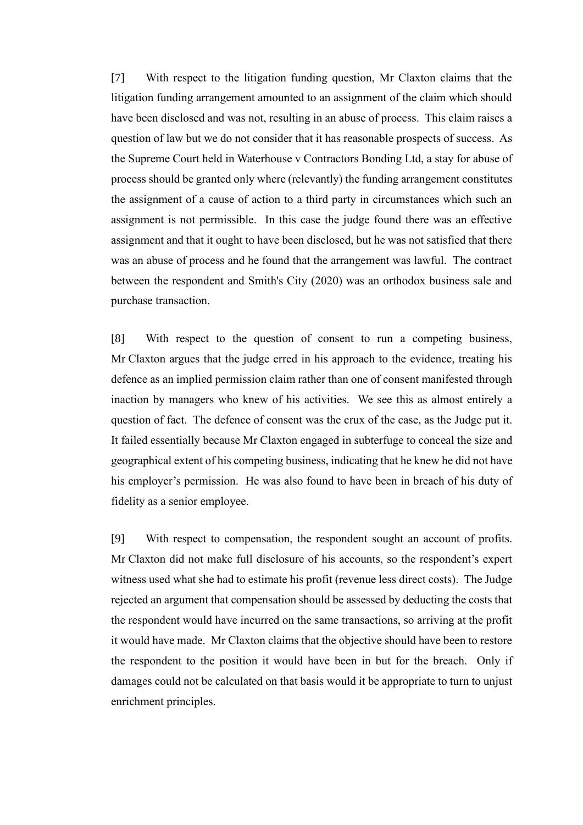[7] With respect to the litigation funding question, Mr Claxton claims that the litigation funding arrangement amounted to an assignment of the claim which should have been disclosed and was not, resulting in an abuse of process. This claim raises a question of law but we do not consider that it has reasonable prospects of success. As the Supreme Court held in Waterhouse v Contractors Bonding Ltd, a stay for abuse of process should be granted only where (relevantly) the funding arrangement constitutes the assignment of a cause of action to a third party in circumstances which such an assignment is not permissible. In this case the judge found there was an effective assignment and that it ought to have been disclosed, but he was not satisfied that there was an abuse of process and he found that the arrangement was lawful. The contract between the respondent and Smith's City (2020) was an orthodox business sale and purchase transaction.

[8] With respect to the question of consent to run a competing business, Mr Claxton argues that the judge erred in his approach to the evidence, treating his defence as an implied permission claim rather than one of consent manifested through inaction by managers who knew of his activities. We see this as almost entirely a question of fact. The defence of consent was the crux of the case, as the Judge put it. It failed essentially because Mr Claxton engaged in subterfuge to conceal the size and geographical extent of his competing business, indicating that he knew he did not have his employer's permission. He was also found to have been in breach of his duty of fidelity as a senior employee.

[9] With respect to compensation, the respondent sought an account of profits. Mr Claxton did not make full disclosure of his accounts, so the respondent's expert witness used what she had to estimate his profit (revenue less direct costs). The Judge rejected an argument that compensation should be assessed by deducting the costs that the respondent would have incurred on the same transactions, so arriving at the profit it would have made. Mr Claxton claims that the objective should have been to restore the respondent to the position it would have been in but for the breach. Only if damages could not be calculated on that basis would it be appropriate to turn to unjust enrichment principles.